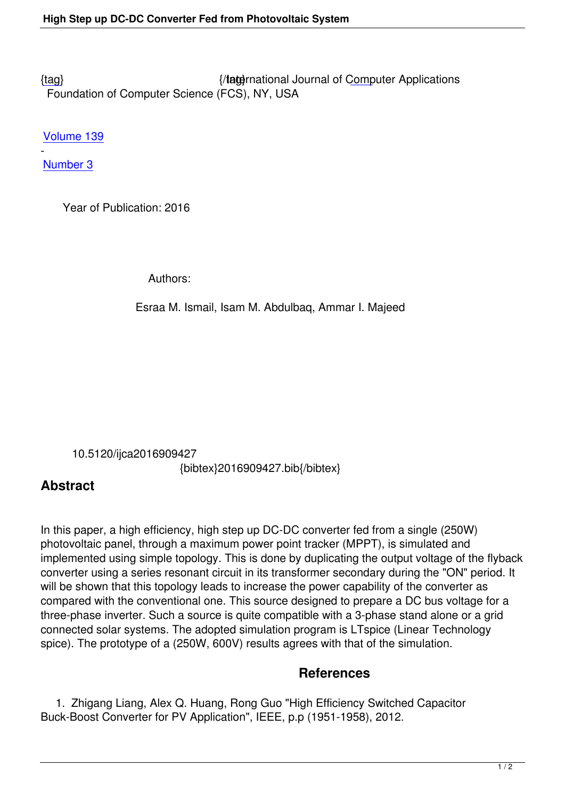{tag} International Journal of Computer Applications Foundation of Computer Science (FCS), NY, USA

[Volu](/research/volume139/number3/ismail-2016-ijca-909427.pdf)me 139

- Number 3

 [Year o](/archives/volume139/number3)f Publication: 2016

Authors:

Esraa M. Ismail, Isam M. Abdulbaq, Ammar I. Majeed

10.5120/ijca2016909427

{bibtex}2016909427.bib{/bibtex}

## **Abstract**

In this paper, a high efficiency, high step up DC-DC converter fed from a single (250W) photovoltaic panel, through a maximum power point tracker (MPPT), is simulated and implemented using simple topology. This is done by duplicating the output voltage of the flyback converter using a series resonant circuit in its transformer secondary during the "ON" period. It will be shown that this topology leads to increase the power capability of the converter as compared with the conventional one. This source designed to prepare a DC bus voltage for a three-phase inverter. Such a source is quite compatible with a 3-phase stand alone or a grid connected solar systems. The adopted simulation program is LTspice (Linear Technology spice). The prototype of a (250W, 600V) results agrees with that of the simulation.

## **References**

 1. Zhigang Liang, Alex Q. Huang, Rong Guo "High Efficiency Switched Capacitor Buck-Boost Converter for PV Application", IEEE, p.p (1951-1958), 2012.